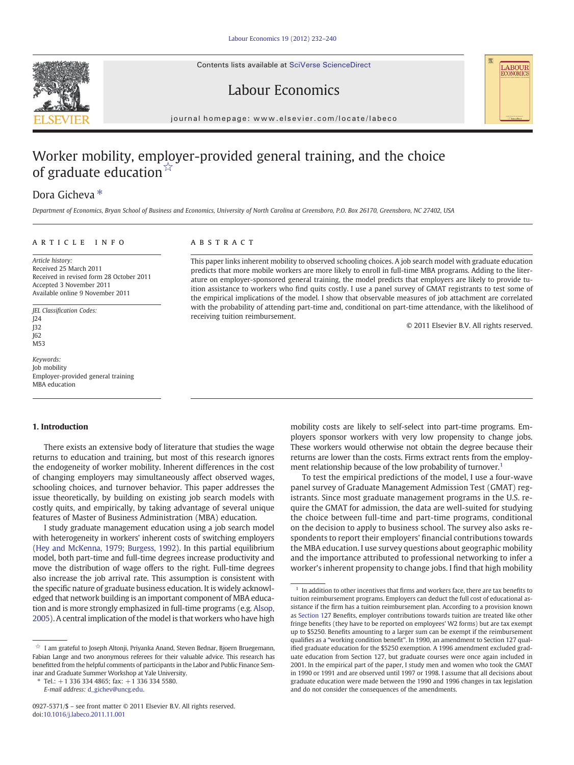Contents lists available at SciVerse ScienceDirect





## Labour Economics

journal homepage: www.elsevier.com/locate/labeco

# Worker mobility, employer-provided general training, and the choice of graduate education $\sqrt[3]{x}$

### Dora Gicheva<sup>\*</sup>

Department of Economics, Bryan School of Business and Economics, University of North Carolina at Greensboro, P.O. Box 26170, Greensboro, NC 27402, USA

#### article info abstract

Article history: Received 25 March 2011 Received in revised form 28 October 2011 Accepted 3 November 2011 Available online 9 November 2011

JEL Classification Codes: J24  $132$ J62 M53

Keywords: Job mobility Employer-provided general training MBA education

#### 1. Introduction

There exists an extensive body of literature that studies the wage returns to education and training, but most of this research ignores the endogeneity of worker mobility. Inherent differences in the cost of changing employers may simultaneously affect observed wages, schooling choices, and turnover behavior. This paper addresses the issue theoretically, by building on existing job search models with costly quits, and empirically, by taking advantage of several unique features of Master of Business Administration (MBA) education.

I study graduate management education using a job search model with heterogeneity in workers' inherent costs of switching employers [\(Hey and McKenna, 1979; Burgess, 1992\)](#page--1-0). In this partial equilibrium model, both part-time and full-time degrees increase productivity and move the distribution of wage offers to the right. Full-time degrees also increase the job arrival rate. This assumption is consistent with the specific nature of graduate business education. It is widely acknowledged that network building is an important component of MBA education and is more strongly emphasized in full-time programs (e.g. [Alsop,](#page--1-0) [2005\)](#page--1-0). A central implication of the model is that workers who have high

This paper links inherent mobility to observed schooling choices. A job search model with graduate education predicts that more mobile workers are more likely to enroll in full-time MBA programs. Adding to the literature on employer-sponsored general training, the model predicts that employers are likely to provide tuition assistance to workers who find quits costly. I use a panel survey of GMAT registrants to test some of the empirical implications of the model. I show that observable measures of job attachment are correlated with the probability of attending part-time and, conditional on part-time attendance, with the likelihood of receiving tuition reimbursement.

© 2011 Elsevier B.V. All rights reserved.

mobility costs are likely to self-select into part-time programs. Employers sponsor workers with very low propensity to change jobs. These workers would otherwise not obtain the degree because their returns are lower than the costs. Firms extract rents from the employment relationship because of the low probability of turnover.<sup>1</sup>

To test the empirical predictions of the model, I use a four-wave panel survey of Graduate Management Admission Test (GMAT) registrants. Since most graduate management programs in the U.S. require the GMAT for admission, the data are well-suited for studying the choice between full-time and part-time programs, conditional on the decision to apply to business school. The survey also asks respondents to report their employers' financial contributions towards the MBA education. I use survey questions about geographic mobility and the importance attributed to professional networking to infer a worker's inherent propensity to change jobs. I find that high mobility

<sup>☆</sup> I am grateful to Joseph Altonji, Priyanka Anand, Steven Bednar, Bjoern Bruegemann, Fabian Lange and two anonymous referees for their valuable advice. This research has benefitted from the helpful comments of participants in the Labor and Public Finance Seminar and Graduate Summer Workshop at Yale University.

<sup>⁎</sup> Tel.: +1 336 334 4865; fax: +1 336 334 5580.

E-mail address: [d\\_gichev@uncg.edu](mailto:d_gichev@uncg.edu).

<sup>0927-5371/\$</sup> – see front matter © 2011 Elsevier B.V. All rights reserved. doi[:10.1016/j.labeco.2011.11.001](http://dx.doi.org/10.1016/j.labeco.2011.11.001)

 $^\mathrm{1}\,$  In addition to other incentives that firms and workers face, there are tax benefits to tuition reimbursement programs. Employers can deduct the full cost of educational assistance if the firm has a tuition reimbursement plan. According to a provision known as Section 127 Benefits, employer contributions towards tuition are treated like other fringe benefits (they have to be reported on employees' W2 forms) but are tax exempt up to \$5250. Benefits amounting to a larger sum can be exempt if the reimbursement qualifies as a "working condition benefit". In 1990, an amendment to Section 127 qualified graduate education for the \$5250 exemption. A 1996 amendment excluded graduate education from Section 127, but graduate courses were once again included in 2001. In the empirical part of the paper, I study men and women who took the GMAT in 1990 or 1991 and are observed until 1997 or 1998. I assume that all decisions about graduate education were made between the 1990 and 1996 changes in tax legislation and do not consider the consequences of the amendments.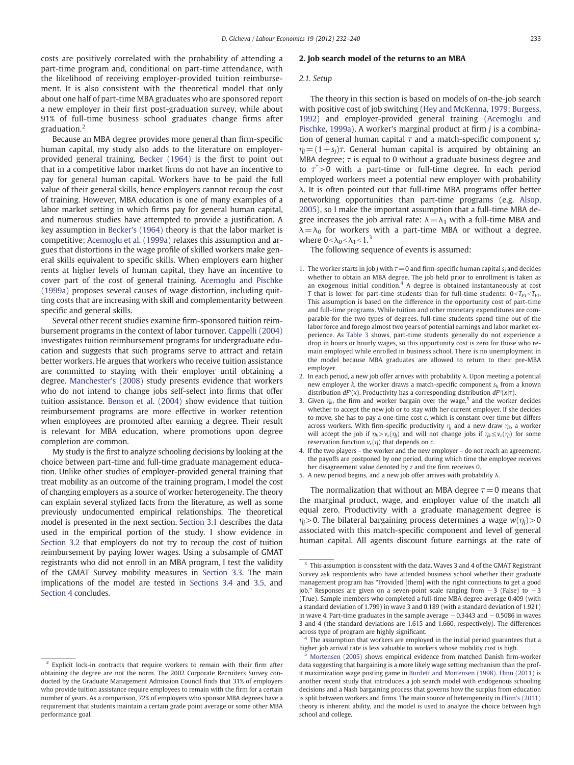costs are positively correlated with the probability of attending a part-time program and, conditional on part-time attendance, with the likelihood of receiving employer-provided tuition reimbursement. It is also consistent with the theoretical model that only about one half of part-time MBA graduates who are sponsored report a new employer in their first post-graduation survey, while about 91% of full-time business school graduates change firms after graduation.<sup>2</sup>

Because an MBA degree provides more general than firm-specific human capital, my study also adds to the literature on employerprovided general training. [Becker \(1964\)](#page--1-0) is the first to point out that in a competitive labor market firms do not have an incentive to pay for general human capital. Workers have to be paid the full value of their general skills, hence employers cannot recoup the cost of training. However, MBA education is one of many examples of a labor market setting in which firms pay for general human capital, and numerous studies have attempted to provide a justification. A key assumption in [Becker's \(1964\)](#page--1-0) theory is that the labor market is competitive; [Acemoglu et al. \(1999a\)](#page--1-0) relaxes this assumption and argues that distortions in the wage profile of skilled workers make general skills equivalent to specific skills. When employers earn higher rents at higher levels of human capital, they have an incentive to cover part of the cost of general training. [Acemoglu and Pischke](#page--1-0) [\(1999a\)](#page--1-0) proposes several causes of wage distortion, including quitting costs that are increasing with skill and complementarity between specific and general skills.

Several other recent studies examine firm-sponsored tuition reimbursement programs in the context of labor turnover. [Cappelli \(2004\)](#page--1-0) investigates tuition reimbursement programs for undergraduate education and suggests that such programs serve to attract and retain better workers. He argues that workers who receive tuition assistance are committed to staying with their employer until obtaining a degree. [Manchester's \(2008\)](#page--1-0) study presents evidence that workers who do not intend to change jobs self-select into firms that offer tuition assistance. [Benson et al. \(2004\)](#page--1-0) show evidence that tuition reimbursement programs are more effective in worker retention when employees are promoted after earning a degree. Their result is relevant for MBA education, where promotions upon degree completion are common.

My study is the first to analyze schooling decisions by looking at the choice between part-time and full-time graduate management education. Unlike other studies of employer-provided general training that treat mobility as an outcome of the training program, I model the cost of changing employers as a source of worker heterogeneity. The theory can explain several stylized facts from the literature, as well as some previously undocumented empirical relationships. The theoretical model is presented in the next section. [Section 3.1](#page--1-0) describes the data used in the empirical portion of the study. I show evidence in [Section 3.2](#page--1-0) that employers do not try to recoup the cost of tuition reimbursement by paying lower wages. Using a subsample of GMAT registrants who did not enroll in an MBA program, I test the validity of the GMAT Survey mobility measures in [Section 3.3](#page--1-0). The main implications of the model are tested in [Sections 3.4](#page--1-0) and [3.5](#page--1-0), and [Section 4](#page--1-0) concludes.

#### 2. Job search model of the returns to an MBA

#### 2.1. Setup

The theory in this section is based on models of on-the-job search with positive cost of job switching [\(Hey and McKenna, 1979; Burgess,](#page--1-0) [1992\)](#page--1-0) and employer-provided general training ([Acemoglu and](#page--1-0) [Pischke, 1999a](#page--1-0)). A worker's marginal product at firm  $j$  is a combination of general human capital  $\tau$  and a match-specific component  $s_i$ :  $\eta_i = (1+s_i)\tau$ . General human capital is acquired by obtaining an MBA degree;  $\tau$  is equal to 0 without a graduate business degree and to  $\tau$  >0 with a part-time or full-time degree. In each period employed workers meet a potential new employer with probability λ. It is often pointed out that full-time MBA programs offer better networking opportunities than part-time programs (e.g. [Alsop,](#page--1-0) [2005\)](#page--1-0), so I make the important assumption that a full-time MBA degree increases the job arrival rate:  $\lambda = \lambda_1$  with a full-time MBA and  $\lambda = \lambda_0$  for workers with a part-time MBA or without a degree, where  $0 < \lambda_0 < \lambda_1 < 1$ .<sup>3</sup>

The following sequence of events is assumed:

- 1. The worker starts in job *i* with  $\tau = 0$  and firm-specific human capital s<sub>i</sub> and decides whether to obtain an MBA degree. The job held prior to enrollment is taken as an exogenous initial condition.<sup>4</sup> A degree is obtained instantaneously at cost T that is lower for part-time students than for full-time students:  $0 < T_{pr} < T_{FT}$ . This assumption is based on the difference in the opportunity cost of part-time and full-time programs. While tuition and other monetary expenditures are comparable for the two types of degrees, full-time students spend time out of the labor force and forego almost two years of potential earnings and labor market experience. As [Table 3](#page--1-0) shows, part-time students generally do not experience a drop in hours or hourly wages, so this opportunity cost is zero for those who remain employed while enrolled in business school. There is no unemployment in the model because MBA graduates are allowed to return to their pre-MBA employer.
- 2. In each period, a new job offer arrives with probability  $\lambda$ . Upon meeting a potential new employer  $k$ , the worker draws a match-specific component  $s_k$  from a known distribution  $dF^s(x)$ . Productivity has a corresponding distribution  $dF^{\eta}(x|\tau)$ .
- 3. Given  $\eta_k$ , the firm and worker bargain over the wage,<sup>5</sup> and the worker decides whether to accept the new job or to stay with her current employer. If she decides to move, she has to pay a one-time cost  $c$ , which is constant over time but differs across workers. With firm-specific productivity  $\eta_i$  and a new draw  $\eta_k$ , a worker will accept the job if  $\eta_k > v_c(\eta_j)$  and will not change jobs if  $\eta_k \le v_c(\eta_j)$  for some reservation function  $v_c(\eta)$  that depends on c.
- 4. If the two players the worker and the new employer do not reach an agreement, the payoffs are postponed by one period, during which time the employee receives her disagreement value denoted by z and the firm receives 0.

5. A new period begins, and a new job offer arrives with probability  $\lambda$ .

The normalization that without an MBA degree  $\tau = 0$  means that the marginal product, wage, and employer value of the match all equal zero. Productivity with a graduate management degree is  $\eta_i$  > 0. The bilateral bargaining process determines a wage  $w(\eta_i)$  > 0 associated with this match-specific component and level of general human capital. All agents discount future earnings at the rate of

 $4$  The assumption that workers are employed in the initial period guarantees that a higher job arrival rate is less valuable to workers whose mobility cost is high.

<sup>&</sup>lt;sup>2</sup> Explicit lock-in contracts that require workers to remain with their firm after obtaining the degree are not the norm. The 2002 Corporate Recruiters Survey conducted by the Graduate Management Admission Council finds that 31% of employers who provide tuition assistance require employees to remain with the firm for a certain number of years. As a comparison, 72% of employers who sponsor MBA degrees have a requirement that students maintain a certain grade point average or some other MBA performance goal.

 $^3\,$  This assumption is consistent with the data. Waves 3 and 4 of the GMAT Registrant Survey ask respondents who have attended business school whether their graduate management program has "Provided [them] with the right connections to get a good job." Responses are given on a seven-point scale ranging from −3 (False) to +3 (True). Sample members who completed a full-time MBA degree average 0.409 (with a standard deviation of 1.799) in wave 3 and 0.189 (with a standard deviation of 1.921) in wave 4. Part-time graduates in the sample average  $-0.3443$  and  $-0.5086$  in waves 3 and 4 (the standard deviations are 1.615 and 1.660, respectively). The differences across type of program are highly significant.

<sup>5</sup> [Mortensen \(2005\)](#page--1-0) shows empirical evidence from matched Danish firm-worker data suggesting that bargaining is a more likely wage setting mechanism than the profit maximization wage posting game in [Burdett and Mortensen \(1998\).](#page--1-0) [Flinn \(2011\)](#page--1-0) is another recent study that introduces a job search model with endogenous schooling decisions and a Nash bargaining process that governs how the surplus from education is split between workers and firms. The main source of heterogeneity in [Flinn's \(2011\)](#page--1-0) theory is inherent ability, and the model is used to analyze the choice between high school and college.